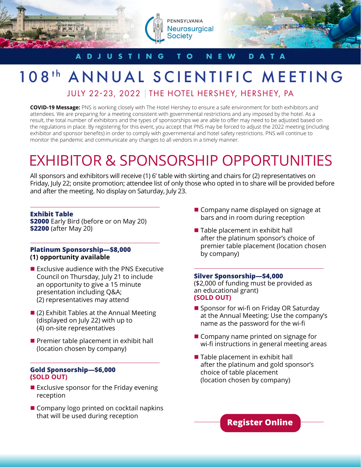

### **ADJUSTING TO NEW DATA**

## 108<sup>th</sup> ANNUAL SCIENTIFIC MEETING

JULY 22-23, 2022 | THE HOTEL HERSHEY, HERSHEY, PA

**COVID-19 Message:** PNS is working closely with The Hotel Hershey to ensure a safe environment for both exhibitors and attendees. We are preparing for a meeting consistent with governmental restrictions and any imposed by the hotel. As a result, the total number of exhibitors and the types of sponsorships we are able to offer may need to be adjusted based on the regulations in place. By registering for this event, you accept that PNS may be forced to adjust the 2022 meeting (including exhibitor and sponsor benefits) in order to comply with governmental and hotel safety restrictions. PNS will continue to monitor the pandemic and communicate any changes to all vendors in a timely manner.

# EXHIBITOR & SPONSORSHIP OPPORTUNITIES

All sponsors and exhibitors will receive (1) 6' table with skirting and chairs for (2) representatives on Friday, July 22; onsite promotion; attendee list of only those who opted in to share will be provided before and after the meeting. No display on Saturday, July 23.

#### **Exhibit Table**

**\$2000** Early Bird (before or on May 20) **\$2200** (after May 20)

#### **Platinum Sponsorship—\$8,000 (1) opportunity available**

- $\blacksquare$  Exclusive audience with the PNS Executive Council on Thursday, July 21 to include an opportunity to give a 15 minute presentation including Q&A; (2) representatives may attend
- $(2)$  Exhibit Tables at the Annual Meeting (displayed on July 22) with up to (4) on-site representatives
- $\blacksquare$  Premier table placement in exhibit hall (location chosen by company)

#### **Gold Sponsorship—\$6,000 (SOLD OUT)**

- $\blacksquare$  Exclusive sponsor for the Friday evening reception
- $\blacksquare$  Company logo printed on cocktail napkins that will be used during reception
- $\blacksquare$  Company name displayed on signage at bars and in room during reception
- $\blacksquare$  Table placement in exhibit hall after the platinum sponsor's choice of premier table placement (location chosen by company)

#### **Silver Sponsorship—\$4,000**

(\$2,000 of funding must be provided as an educational grant) **(SOLD OUT)**

- $\blacksquare$  Sponsor for wi-fi on Friday OR Saturday at the Annual Meeting; Use the company's name as the password for the wi-fi
- $\blacksquare$  Company name printed on signage for wi-fi instructions in general meeting areas
- $\blacksquare$  Table placement in exhibit hall after the platinum and gold sponsor's choice of table placement (location chosen by company)

**[Register Online](https://na.eventscloud.com/ereg/index.php?eventid=667811&)**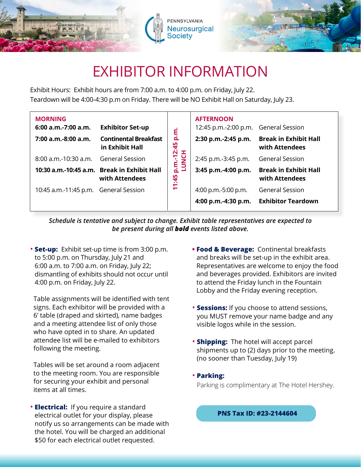



## EXHIBITOR INFORMATION

Exhibit Hours: Exhibit hours are from 7:00 a.m. to 4:00 p.m. on Friday, July 22. Teardown will be 4:00-4:30 p.m on Friday. There will be NO Exhibit Hall on Saturday, July 23.

| <b>MORNING</b>                        |                                                               |                                                              | <b>AFTERNOON</b>                     |                                                |
|---------------------------------------|---------------------------------------------------------------|--------------------------------------------------------------|--------------------------------------|------------------------------------------------|
| $6:00$ a.m.-7:00 a.m.                 | <b>Exhibitor Set-up</b>                                       |                                                              | 12:45 p.m.-2:00 p.m. General Session |                                                |
| 7:00 a.m.-8:00 a.m.                   | <b>Continental Breakfast</b><br>in Exhibit Hall               | p.m.<br>$\ddot{45}$<br><b>p.m.-12:</b><br>LUNCH<br>1:45<br>÷ | 2:30 p.m.-2:45 p.m.                  | <b>Break in Exhibit Hall</b><br>with Attendees |
| $8:00$ a.m.-10:30 a.m.                | <b>General Session</b>                                        |                                                              | 2:45 p.m.-3:45 p.m.                  | <b>General Session</b>                         |
|                                       | 10:30 a.m.-10:45 a.m. Break in Exhibit Hall<br>with Attendees |                                                              | 3:45 p.m.-4:00 p.m.                  | <b>Break in Exhibit Hall</b><br>with Attendees |
| 10:45 a.m.-11:45 p.m. General Session |                                                               |                                                              | 4:00 p.m.-5:00 p.m.                  | <b>General Session</b>                         |
|                                       |                                                               |                                                              | 4:00 p.m.-4:30 p.m.                  | <b>Exhibitor Teardown</b>                      |

*Schedule is tentative and subject to change. Exhibit table representatives are expected to be present during all bold events listed above.*

• **Set-up:** Exhibit set-up time is from 3:00 p.m. to 5:00 p.m. on Thursday, July 21 and 6:00 a.m. to 7:00 a.m. on Friday, July 22; dismantling of exhibits should not occur until 4:00 p.m. on Friday, July 22.

 Table assignments will be identified with tent signs. Each exhibitor will be provided with a 6' table (draped and skirted), name badges and a meeting attendee list of only those who have opted in to share. An updated attendee list will be e-mailed to exhibitors following the meeting.

 Tables will be set around a room adjacent to the meeting room. You are responsible for securing your exhibit and personal items at all times.

• **Electrical:** If you require a standard electrical outlet for your display, please notify us so arrangements can be made with the hotel. You will be charged an additional \$50 for each electrical outlet requested.

- **• Food & Beverage:** Continental breakfasts and breaks will be set-up in the exhibit area. Representatives are welcome to enjoy the food and beverages provided. Exhibitors are invited to attend the Friday lunch in the Fountain Lobby and the Friday evening reception.
- **Sessions:** If you choose to attend sessions, you MUST remove your name badge and any visible logos while in the session.
- **Shipping:** The hotel will accept parcel shipments up to (2) days prior to the meeting. (no sooner than Tuesday, July 19)
- **Parking:**

Parking is complimentary at The Hotel Hershey.

 **PNS Tax ID: #23-2144604**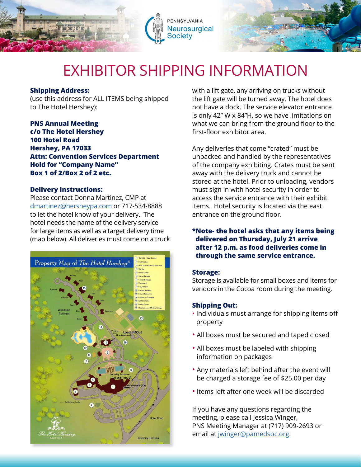



## EXHIBITOR SHIPPING INFORMATION

#### **Shipping Address:**

(use this address for ALL ITEMS being shipped to The Hotel Hershey):

**PNS Annual Meeting c/o The Hotel Hershey 100 Hotel Road Hershey, PA 17033 Attn: Convention Services Department Hold for "Company Name" Box 1 of 2/Box 2 of 2 etc.** 

#### **Delivery Instructions:**

Please contact Donna Martinez, CMP at [dmartinez@hersheypa.com](mailto:dmartinez%40hersheypa.com?subject=) or 717-534-8888 to let the hotel know of your delivery. The hotel needs the name of the delivery service for large items as well as a target delivery time (map below). All deliveries must come on a truck



with a lift gate, any arriving on trucks without the lift gate will be turned away. The hotel does not have a dock. The service elevator entrance is only 42" W x 84"H, so we have limitations on what we can bring from the ground floor to the first-floor exhibitor area.

Any deliveries that come "crated" must be unpacked and handled by the representatives of the company exhibiting. Crates must be sent away with the delivery truck and cannot be stored at the hotel. Prior to unloading, vendors must sign in with hotel security in order to access the service entrance with their exhibit items. Hotel security is located via the east entrance on the ground floor.

#### **\*Note- the hotel asks that any items being delivered on Thursday, July 21 arrive after 12 p.m. as food deliveries come in through the same service entrance.**

#### **Storage:**

Storage is available for small boxes and items for vendors in the Cocoa room during the meeting.

#### **Shipping Out:**

- Individuals must arrange for shipping items off property
- All boxes must be secured and taped closed
- All boxes must be labeled with shipping information on packages
- Any materials left behind after the event will be charged a storage fee of \$25.00 per day
- Items left after one week will be discarded

If you have any questions regarding the meeting, please call Jessica Winger, PNS Meeting Manager at (717) 909-2693 or email at [jwinger@pamedsoc.org.](mailto:jwinger%40pamedsoc.org?subject=)